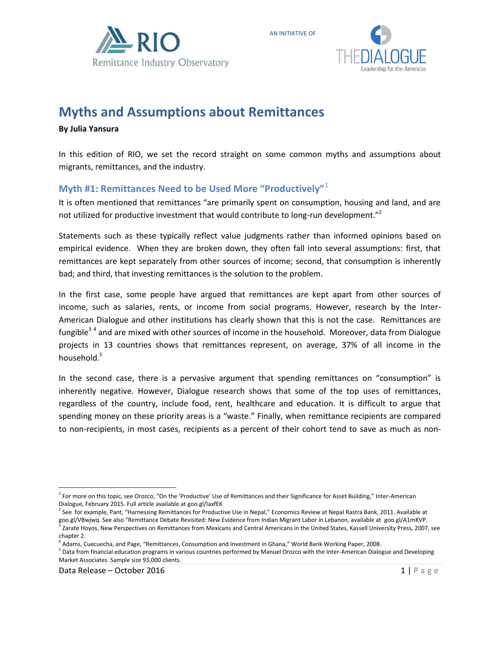

# **Myths and Assumptions about Remittances**

**By Julia Yansura** 

In this edition of RIO, we set the record straight on some common myths and assumptions about migrants, remittances, and the industry.

AN INITIATIVE OF

## **Myth #1: Remittances Need to be Used More "Productively"**<sup>1</sup>

It is often mentioned that remittances "are primarily spent on consumption, housing and land, and are not utilized for productive investment that would contribute to long-run development."<sup>2</sup>

Statements such as these typically reflect value judgments rather than informed opinions based on empirical evidence. When they are broken down, they often fall into several assumptions: first, that remittances are kept separately from other sources of income; second, that consumption is inherently bad; and third, that investing remittances is the solution to the problem.

In the first case, some people have argued that remittances are kept apart from other sources of income, such as salaries, rents, or income from social programs. However, research by the Inter-American Dialogue and other institutions has clearly shown that this is not the case. Remittances are fungible<sup>34</sup> and are mixed with other sources of income in the household. Moreover, data from Dialogue projects in 13 countries shows that remittances represent, on average, 37% of all income in the household.<sup>5</sup>

In the second case, there is a pervasive argument that spending remittances on "consumption" is inherently negative. However, Dialogue research shows that some of the top uses of remittances, regardless of the country, include food, rent, healthcare and education. It is difficult to argue that spending money on these priority areas is a "waste." Finally, when remittance recipients are compared to non-recipients, in most cases, recipients as a percent of their cohort tend to save as much as non-

l <sup>1</sup> For more on this topic, see Orozco, "On the 'Productive' Use of Remittances and their Significance for Asset Building," Inter-American Dialogue, February 2015. Full article available at goo.gl/IaxfEK

<sup>&</sup>lt;sup>2</sup> See for example, Pant, "Harnessing Remittances for Productive Use in Nepal," Economics Review at Nepal Rastra Bank, 2011. Available at goo.gl/VBwjwq. See also "Remittance Debate Revisited: New Evidence from Indian Migrant Labor in Lebanon, available at goo.gl/A1mKVP. <sup>3</sup> Zarate Hoyos, New Perspectives on Remittances from Mexicans and Central Americans in the United States, Kassell University Press, 2007, see chapter 2.

<sup>4</sup> Adams, Cuecuecha, and Page, "Remittances, Consumption and Investment in Ghana," World Bank Working Paper, 2008.

<sup>&</sup>lt;sup>5</sup> Data from financial education programs in various countries performed by Manuel Orozco with the Inter-American Dialogue and Developing Market Associates. Sample size 93,000 clients.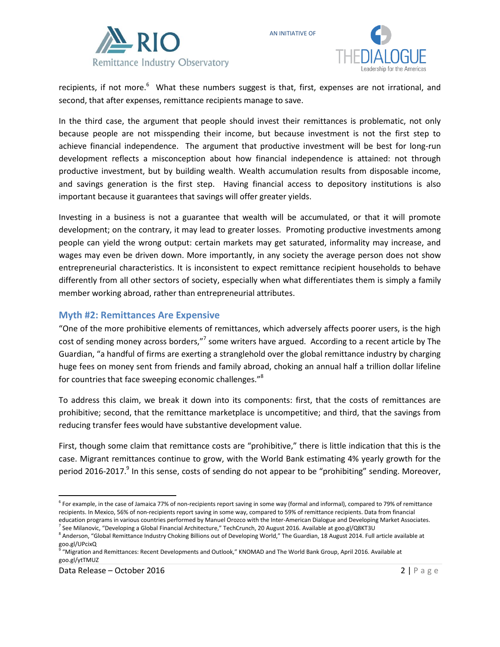



recipients, if not more.<sup>6</sup> What these numbers suggest is that, first, expenses are not irrational, and second, that after expenses, remittance recipients manage to save.

AN INITIATIVE OF

In the third case, the argument that people should invest their remittances is problematic, not only because people are not misspending their income, but because investment is not the first step to achieve financial independence. The argument that productive investment will be best for long-run development reflects a misconception about how financial independence is attained: not through productive investment, but by building wealth. Wealth accumulation results from disposable income, and savings generation is the first step. Having financial access to depository institutions is also important because it guarantees that savings will offer greater yields.

Investing in a business is not a guarantee that wealth will be accumulated, or that it will promote development; on the contrary, it may lead to greater losses. Promoting productive investments among people can yield the wrong output: certain markets may get saturated, informality may increase, and wages may even be driven down. More importantly, in any society the average person does not show entrepreneurial characteristics. It is inconsistent to expect remittance recipient households to behave differently from all other sectors of society, especially when what differentiates them is simply a family member working abroad, rather than entrepreneurial attributes.

#### **Myth #2: Remittances Are Expensive**

"One of the more prohibitive elements of remittances, which adversely affects poorer users, is the high cost of sending money across borders,"<sup>7</sup> some writers have argued. According to a recent article by The Guardian, "a handful of firms are exerting a stranglehold over the global remittance industry by charging huge fees on money sent from friends and family abroad, choking an annual half a trillion dollar lifeline for countries that face sweeping economic challenges."<sup>8</sup>

To address this claim, we break it down into its components: first, that the costs of remittances are prohibitive; second, that the remittance marketplace is uncompetitive; and third, that the savings from reducing transfer fees would have substantive development value.

First, though some claim that remittance costs are "prohibitive," there is little indication that this is the case. Migrant remittances continue to grow, with the World Bank estimating 4% yearly growth for the period 2016-2017.<sup>9</sup> In this sense, costs of sending do not appear to be "prohibiting" sending. Moreover,

 $\overline{\phantom{a}}$ <sup>6</sup> For example, in the case of Jamaica 77% of non-recipients report saving in some way (formal and informal), compared to 79% of remittance recipients. In Mexico, 56% of non-recipients report saving in some way, compared to 59% of remittance recipients. Data from financial education programs in various countries performed by Manuel Orozco with the Inter-American Dialogue and Developing Market Associates.

<sup>&</sup>lt;sup>7</sup> See Milanovic, "Developing a Global Financial Architecture," TechCrunch, 20 August 2016. Available at goo.gl/Q8KT3U <sup>8</sup> Anderson, "Global Remittance Industry Choking Billions out of Developing World," The Guardian, 18 August 2014. Full article available at

goo.gl/UPcixQ<br><sup>9</sup> "Migration and Remittances: Recent Developments and Outlook," KNOMAD and The World Bank Group, April 2016. Available at goo.gl/ytTMUZ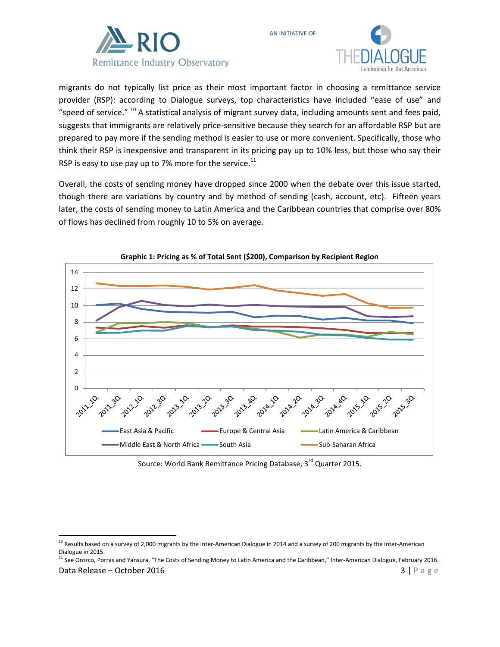



migrants do not typically list price as their most important factor in choosing a remittance service provider (RSP): according to Dialogue surveys, top characteristics have included "ease of use" and "speed of service."  $^{10}$  A statistical analysis of migrant survey data, including amounts sent and fees paid, suggests that immigrants are relatively price-sensitive because they search for an affordable RSP but are prepared to pay more if the sending method is easier to use or more convenient. Specifically, those who think their RSP is inexpensive and transparent in its pricing pay up to 10% less, but those who say their RSP is easy to use pay up to 7% more for the service. $^{11}$ 

AN INITIATIVE OF

Overall, the costs of sending money have dropped since 2000 when the debate over this issue started, though there are variations by country and by method of sending (cash, account, etc). Fifteen years later, the costs of sending money to Latin America and the Caribbean countries that comprise over 80% of flows has declined from roughly 10 to 5% on average.



**Graphic 1: Pricing as % of Total Sent (\$200), Comparison by Recipient Region**

Source: World Bank Remittance Pricing Database, 3<sup>rd</sup> Quarter 2015.

<sup>11</sup> See Orozco, Porras and Yansura, "The Costs of Sending Money to Latin America and the Caribbean," Inter-American Dialogue, February 2016.

 $\overline{\phantom{a}}$ 

 $^{10}$  Results based on a survey of 2,000 migrants by the Inter-American Dialogue in 2014 and a survey of 200 migrants by the Inter-American Dialogue in 2015.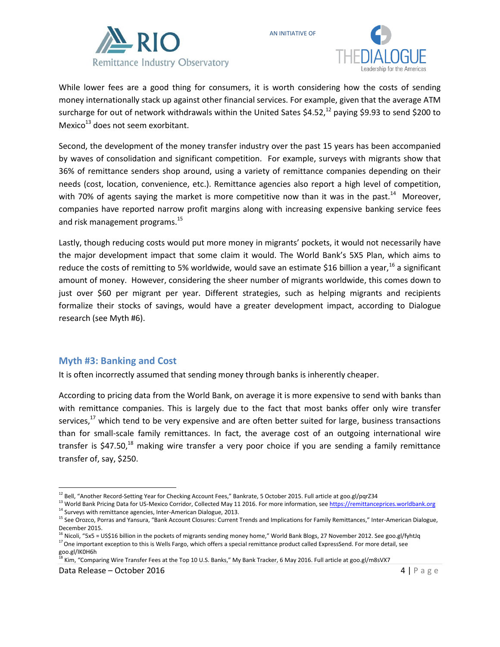



While lower fees are a good thing for consumers, it is worth considering how the costs of sending money internationally stack up against other financial services. For example, given that the average ATM surcharge for out of network withdrawals within the United Sates  $$4.52<sup>12</sup>$  paying \$9.93 to send \$200 to Mexico $13$  does not seem exorbitant.

AN INITIATIVE OF

Second, the development of the money transfer industry over the past 15 years has been accompanied by waves of consolidation and significant competition. For example, surveys with migrants show that 36% of remittance senders shop around, using a variety of remittance companies depending on their needs (cost, location, convenience, etc.). Remittance agencies also report a high level of competition, with 70% of agents saying the market is more competitive now than it was in the past.<sup>14</sup> Moreover, companies have reported narrow profit margins along with increasing expensive banking service fees and risk management programs.<sup>15</sup>

Lastly, though reducing costs would put more money in migrants' pockets, it would not necessarily have the major development impact that some claim it would. The World Bank's 5X5 Plan, which aims to reduce the costs of remitting to 5% worldwide, would save an estimate \$16 billion a year,  $^{16}$  a significant amount of money. However, considering the sheer number of migrants worldwide, this comes down to just over \$60 per migrant per year. Different strategies, such as helping migrants and recipients formalize their stocks of savings, would have a greater development impact, according to Dialogue research (see Myth #6).

#### **Myth #3: Banking and Cost**

It is often incorrectly assumed that sending money through banks is inherently cheaper.

According to pricing data from the World Bank, on average it is more expensive to send with banks than with remittance companies. This is largely due to the fact that most banks offer only wire transfer services, $17$  which tend to be very expensive and are often better suited for large, business transactions than for small-scale family remittances. In fact, the average cost of an outgoing international wire transfer is \$47.50,<sup>18</sup> making wire transfer a very poor choice if you are sending a family remittance transfer of, say, \$250.

l <sup>12</sup> Bell, "Another Record-Setting Year for Checking Account Fees," Bankrate, 5 October 2015. Full article at goo.gl/pqrZ34

<sup>&</sup>lt;sup>13</sup> World Bank Pricing Data for US-Mexico Corridor, Collected May 11 2016. For more information, see [https://remittanceprices.worldbank.org](https://remittanceprices.worldbank.org/) <sup>14</sup> Surveys with remittance agencies, Inter-American Dialogue, 2013.

<sup>&</sup>lt;sup>15</sup> See Orozco, Porras and Yansura, "Bank Account Closures: Current Trends and Implications for Family Remittances," Inter-American Dialogue, December 2015.

<sup>&</sup>lt;sup>16</sup> Nicoli, "5x5 = US\$16 billion in the pockets of migrants sending money home," World Bank Blogs, 27 November 2012. See goo.gl/fyhtJq  $17$  One important exception to this is Wells Fargo, which offers a special remittance product called ExpressSend. For more detail, see goo.gl/IK0H6h

<sup>&</sup>lt;sup>18</sup> Kim, "Comparing Wire Transfer Fees at the Top 10 U.S. Banks," My Bank Tracker, 6 May 2016. Full article at goo.gl/m8sVX7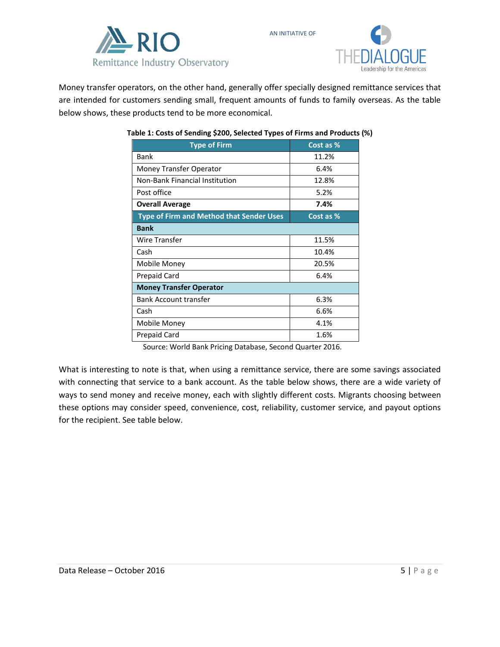



Money transfer operators, on the other hand, generally offer specially designed remittance services that are intended for customers sending small, frequent amounts of funds to family overseas. As the table below shows, these products tend to be more economical.

AN INITIATIVE OF

| Cost as %                      |  |  |  |  |
|--------------------------------|--|--|--|--|
| 11.2%                          |  |  |  |  |
| 6.4%                           |  |  |  |  |
| 12.8%                          |  |  |  |  |
| 5.2%                           |  |  |  |  |
| 7.4%                           |  |  |  |  |
| Cost as %                      |  |  |  |  |
|                                |  |  |  |  |
| 11.5%                          |  |  |  |  |
| 10.4%                          |  |  |  |  |
| 20.5%                          |  |  |  |  |
| 6.4%                           |  |  |  |  |
| <b>Money Transfer Operator</b> |  |  |  |  |
| 6.3%                           |  |  |  |  |
| 6.6%                           |  |  |  |  |
| 4.1%                           |  |  |  |  |
| 1.6%                           |  |  |  |  |
|                                |  |  |  |  |

#### **Table 1: Costs of Sending \$200, Selected Types of Firms and Products (%)**

Source: World Bank Pricing Database, Second Quarter 2016.

What is interesting to note is that, when using a remittance service, there are some savings associated with connecting that service to a bank account. As the table below shows, there are a wide variety of ways to send money and receive money, each with slightly different costs. Migrants choosing between these options may consider speed, convenience, cost, reliability, customer service, and payout options for the recipient. See table below.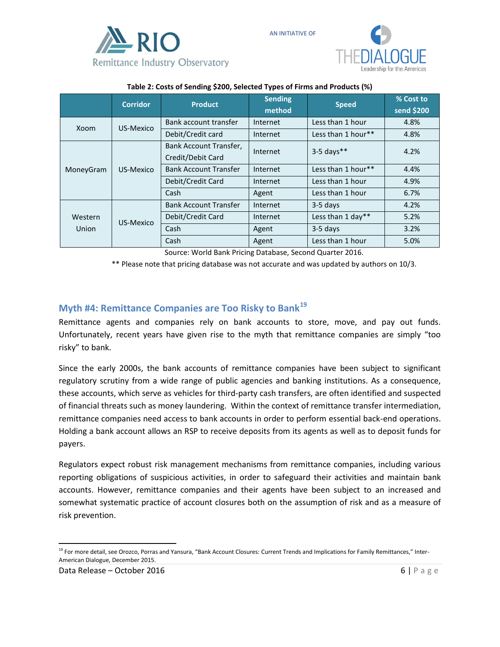



|                  | <b>Corridor</b> | <b>Product</b>               | <b>Sending</b><br>method | <b>Speed</b>       | % Cost to<br>send \$200 |
|------------------|-----------------|------------------------------|--------------------------|--------------------|-------------------------|
| Xoom             | US-Mexico       | Bank account transfer        | Internet                 | Less than 1 hour   | 4.8%                    |
|                  |                 | Debit/Credit card            | Internet                 | Less than 1 hour** | 4.8%                    |
| MoneyGram        | US-Mexico       | Bank Account Transfer,       | Internet                 | $3-5$ days**       | 4.2%                    |
|                  |                 | Credit/Debit Card            |                          |                    |                         |
|                  |                 | <b>Bank Account Transfer</b> | Internet                 | Less than 1 hour** | 4.4%                    |
|                  |                 | Debit/Credit Card            | Internet                 | Less than 1 hour   | 4.9%                    |
|                  |                 | Cash                         | Agent                    | Less than 1 hour   | 6.7%                    |
| Western<br>Union |                 | <b>Bank Account Transfer</b> | Internet                 | $3-5$ days         | 4.2%                    |
|                  | US-Mexico       | Debit/Credit Card            | Internet                 | Less than 1 day**  | 5.2%                    |
|                  |                 | Cash                         | Agent                    | $3-5$ days         | 3.2%                    |
|                  |                 | Cash                         | Agent                    | Less than 1 hour   | 5.0%                    |

#### **Table 2: Costs of Sending \$200, Selected Types of Firms and Products (%)**

AN INITIATIVE OF

Source: World Bank Pricing Database, Second Quarter 2016.

\*\* Please note that pricing database was not accurate and was updated by authors on 10/3.

### **Myth #4: Remittance Companies are Too Risky to Bank<sup>19</sup>**

Remittance agents and companies rely on bank accounts to store, move, and pay out funds. Unfortunately, recent years have given rise to the myth that remittance companies are simply "too risky" to bank.

Since the early 2000s, the bank accounts of remittance companies have been subject to significant regulatory scrutiny from a wide range of public agencies and banking institutions. As a consequence, these accounts, which serve as vehicles for third-party cash transfers, are often identified and suspected of financial threats such as money laundering. Within the context of remittance transfer intermediation, remittance companies need access to bank accounts in order to perform essential back-end operations. Holding a bank account allows an RSP to receive deposits from its agents as well as to deposit funds for payers.

Regulators expect robust risk management mechanisms from remittance companies, including various reporting obligations of suspicious activities, in order to safeguard their activities and maintain bank accounts. However, remittance companies and their agents have been subject to an increased and somewhat systematic practice of account closures both on the assumption of risk and as a measure of risk prevention.

 $\overline{\phantom{a}}$ <sup>19</sup> For more detail, see Orozco, Porras and Yansura, "Bank Account Closures: Current Trends and Implications for Family Remittances," Inter-American Dialogue, December 2015.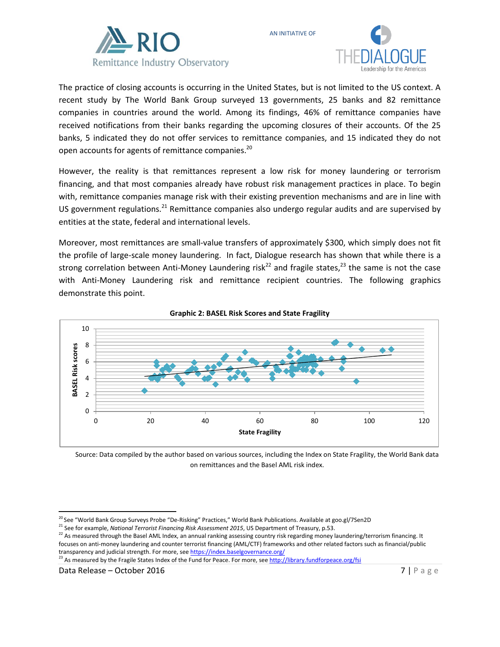



The practice of closing accounts is occurring in the United States, but is not limited to the US context. A recent study by The World Bank Group surveyed 13 governments, 25 banks and 82 remittance companies in countries around the world. Among its findings, 46% of remittance companies have received notifications from their banks regarding the upcoming closures of their accounts. Of the 25 banks, 5 indicated they do not offer services to remittance companies, and 15 indicated they do not open accounts for agents of remittance companies.<sup>20</sup>

AN INITIATIVE OF

However, the reality is that remittances represent a low risk for money laundering or terrorism financing, and that most companies already have robust risk management practices in place. To begin with, remittance companies manage risk with their existing prevention mechanisms and are in line with US government regulations.<sup>21</sup> Remittance companies also undergo regular audits and are supervised by entities at the state, federal and international levels.

Moreover, most remittances are small-value transfers of approximately \$300, which simply does not fit the profile of large-scale money laundering. In fact, Dialogue research has shown that while there is a strong correlation between Anti-Money Laundering risk<sup>22</sup> and fragile states,<sup>23</sup> the same is not the case with Anti-Money Laundering risk and remittance recipient countries. The following graphics demonstrate this point.



#### **Graphic 2: BASEL Risk Scores and State Fragility**

Source: Data compiled by the author based on various sources, including the Index on State Fragility, the World Bank data on remittances and the Basel AML risk index.

 $\overline{\phantom{a}}$ 

<sup>&</sup>lt;sup>20</sup> See "World Bank Group Surveys Probe "De-Risking" Practices," World Bank Publications. Available at goo.gl/7Sen2D

<sup>&</sup>lt;sup>21</sup> See for example, *National Terrorist Financing Risk Assessment 2015*, US Department of Treasury, p.53.

<sup>&</sup>lt;sup>22</sup> As measured through the Basel AML Index, an annual ranking assessing country risk regarding money laundering/terrorism financing. It focuses on anti-money laundering and counter terrorist financing (AML/CTF) frameworks and other related factors such as financial/public transparency and judicial strength. For more, se[e https://index.baselgovernance.org/](https://index.baselgovernance.org/)

<sup>&</sup>lt;sup>23</sup> As measured by the Fragile States Index of the Fund for Peace. For more, se[e http://library.fundforpeace.org/fsi](http://library.fundforpeace.org/fsi)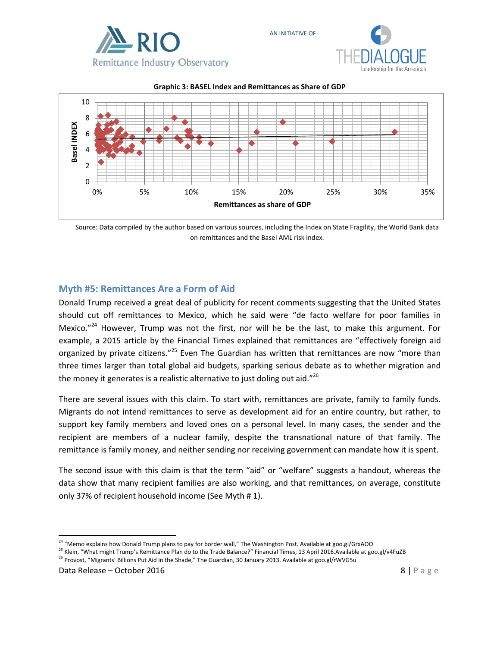





AN INITIATIVE OF

Source: Data compiled by the author based on various sources, including the Index on State Fragility, the World Bank data on remittances and the Basel AML risk index.

### **Myth #5: Remittances Are a Form of Aid**

Donald Trump received a great deal of publicity for recent comments suggesting that the United States should cut off remittances to Mexico, which he said were "de facto welfare for poor families in Mexico."<sup>24</sup> However, Trump was not the first, nor will he be the last, to make this argument. For example, a 2015 article by the Financial Times explained that remittances are "effectively foreign aid organized by private citizens."<sup>25</sup> Even The Guardian has written that remittances are now "more than three times larger than total global aid budgets, sparking serious debate as to whether migration and the money it generates is a realistic alternative to just doling out aid." $^{26}$ 

There are several issues with this claim. To start with, remittances are private, family to family funds. Migrants do not intend remittances to serve as development aid for an entire country, but rather, to support key family members and loved ones on a personal level. In many cases, the sender and the recipient are members of a nuclear family, despite the transnational nature of that family. The remittance is family money, and neither sending nor receiving government can mandate how it is spent.

The second issue with this claim is that the term "aid" or "welfare" suggests a handout, whereas the data show that many recipient families are also working, and that remittances, on average, constitute only 37% of recipient household income (See Myth # 1).

 $\overline{\phantom{a}}$ <sup>24</sup> "Memo explains how Donald Trump plans to pay for border wall," The Washington Post. Available at goo.gl/GrxAOO

<sup>&</sup>lt;sup>25</sup> Klein, "What might Trump's Remittance Plan do to the Trade Balance?" Financial Times, 13 April 2016.Available at goo.gl/v4FuZB

<sup>&</sup>lt;sup>26</sup> Provost, "Migrants' Billions Put Aid in the Shade," The Guardian, 30 January 2013. Available at goo.gl/rWVG5u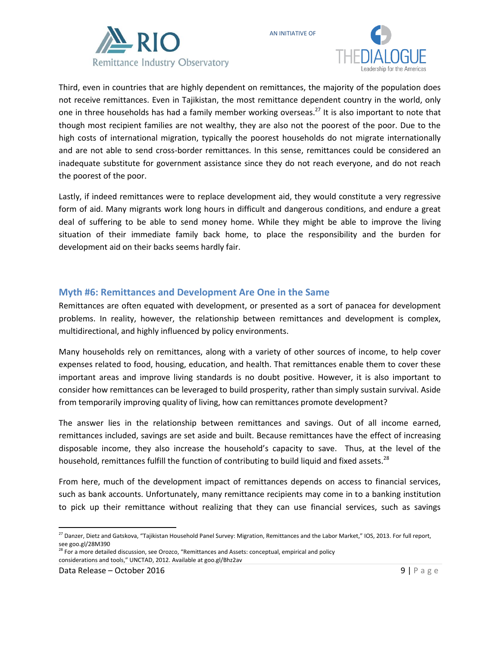



Third, even in countries that are highly dependent on remittances, the majority of the population does not receive remittances. Even in Tajikistan, the most remittance dependent country in the world, only one in three households has had a family member working overseas.<sup>27</sup> It is also important to note that though most recipient families are not wealthy, they are also not the poorest of the poor. Due to the high costs of international migration, typically the poorest households do not migrate internationally and are not able to send cross-border remittances. In this sense, remittances could be considered an inadequate substitute for government assistance since they do not reach everyone, and do not reach the poorest of the poor.

AN INITIATIVE OF

Lastly, if indeed remittances were to replace development aid, they would constitute a very regressive form of aid. Many migrants work long hours in difficult and dangerous conditions, and endure a great deal of suffering to be able to send money home. While they might be able to improve the living situation of their immediate family back home, to place the responsibility and the burden for development aid on their backs seems hardly fair.

### **Myth #6: Remittances and Development Are One in the Same**

Remittances are often equated with development, or presented as a sort of panacea for development problems. In reality, however, the relationship between remittances and development is complex, multidirectional, and highly influenced by policy environments.

Many households rely on remittances, along with a variety of other sources of income, to help cover expenses related to food, housing, education, and health. That remittances enable them to cover these important areas and improve living standards is no doubt positive. However, it is also important to consider how remittances can be leveraged to build prosperity, rather than simply sustain survival. Aside from temporarily improving quality of living, how can remittances promote development?

The answer lies in the relationship between remittances and savings. Out of all income earned, remittances included, savings are set aside and built. Because remittances have the effect of increasing disposable income, they also increase the household's capacity to save. Thus, at the level of the household, remittances fulfill the function of contributing to build liquid and fixed assets.<sup>28</sup>

From here, much of the development impact of remittances depends on access to financial services, such as bank accounts. Unfortunately, many remittance recipients may come in to a banking institution to pick up their remittance without realizing that they can use financial services, such as savings

 $\overline{\phantom{a}}$ <sup>27</sup> Danzer, Dietz and Gatskova, "Tajikistan Household Panel Survey: Migration, Remittances and the Labor Market," IOS, 2013. For full report, see goo.gl/28M390

<sup>&</sup>lt;sup>28</sup> For a more detailed discussion, see Orozco, "Remittances and Assets: conceptual, empirical and policy considerations and tools," UNCTAD, 2012. Available at goo.gl/Bhz2av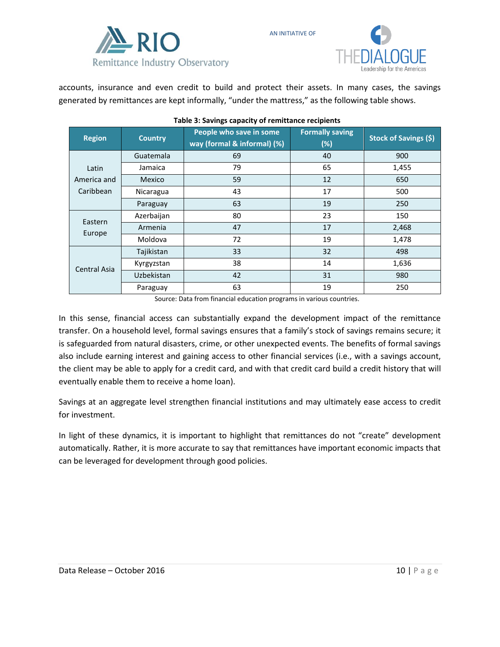



accounts, insurance and even credit to build and protect their assets. In many cases, the savings generated by remittances are kept informally, "under the mattress," as the following table shows.

| <b>Region</b>                     | <b>Country</b> | People who save in some<br>way (formal & informal) (%) | <b>Formally saving</b><br>(%) | <b>Stock of Savings (\$)</b> |
|-----------------------------------|----------------|--------------------------------------------------------|-------------------------------|------------------------------|
|                                   | Guatemala      | 69                                                     | 40                            | 900                          |
| Latin<br>America and<br>Caribbean | Jamaica        | 79                                                     | 65                            | 1,455                        |
|                                   | Mexico         | 59                                                     | 12                            | 650                          |
|                                   | Nicaragua      | 43                                                     | 17                            | 500                          |
|                                   | Paraguay       | 63                                                     | 19                            | 250                          |
| Eastern<br>Europe                 | Azerbaijan     | 80                                                     | 23                            | 150                          |
|                                   | Armenia        | 47                                                     | 17                            | 2,468                        |
|                                   | Moldova        | 72                                                     | 19                            | 1,478                        |
| <b>Central Asia</b>               | Tajikistan     | 33                                                     | 32                            | 498                          |
|                                   | Kyrgyzstan     | 38                                                     | 14                            | 1,636                        |
|                                   | Uzbekistan     | 42                                                     | 31                            | 980                          |
|                                   | Paraguay       | 63                                                     | 19                            | 250                          |

AN INITIATIVE OF

Source: Data from financial education programs in various countries.

In this sense, financial access can substantially expand the development impact of the remittance transfer. On a household level, formal savings ensures that a family's stock of savings remains secure; it is safeguarded from natural disasters, crime, or other unexpected events. The benefits of formal savings also include earning interest and gaining access to other financial services (i.e., with a savings account, the client may be able to apply for a credit card, and with that credit card build a credit history that will eventually enable them to receive a home loan).

Savings at an aggregate level strengthen financial institutions and may ultimately ease access to credit for investment.

In light of these dynamics, it is important to highlight that remittances do not "create" development automatically. Rather, it is more accurate to say that remittances have important economic impacts that can be leveraged for development through good policies.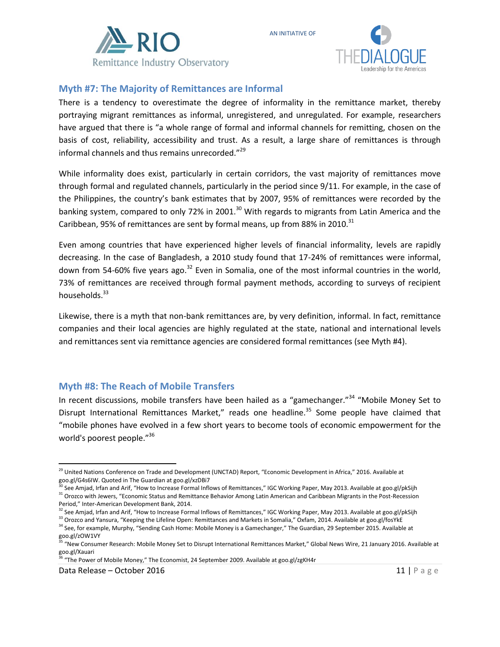



## **Myth #7: The Majority of Remittances are Informal**

There is a tendency to overestimate the degree of informality in the remittance market, thereby portraying migrant remittances as informal, unregistered, and unregulated. For example, researchers have argued that there is "a whole range of formal and informal channels for remitting, chosen on the basis of cost, reliability, accessibility and trust. As a result, a large share of remittances is through informal channels and thus remains unrecorded."<sup>29</sup>

AN INITIATIVE OF

While informality does exist, particularly in certain corridors, the vast majority of remittances move through formal and regulated channels, particularly in the period since 9/11. For example, in the case of the Philippines, the country's bank estimates that by 2007, 95% of remittances were recorded by the banking system, compared to only 72% in 2001.<sup>30</sup> With regards to migrants from Latin America and the Caribbean, 95% of remittances are sent by formal means, up from 88% in 2010.<sup>31</sup>

Even among countries that have experienced higher levels of financial informality, levels are rapidly decreasing. In the case of Bangladesh, a 2010 study found that 17-24% of remittances were informal, down from 54-60% five years ago. $32$  Even in Somalia, one of the most informal countries in the world, 73% of remittances are received through formal payment methods, according to surveys of recipient households.<sup>33</sup>

Likewise, there is a myth that non-bank remittances are, by very definition, informal. In fact, remittance companies and their local agencies are highly regulated at the state, national and international levels and remittances sent via remittance agencies are considered formal remittances (see Myth #4).

## **Myth #8: The Reach of Mobile Transfers**

In recent discussions, mobile transfers have been hailed as a "gamechanger."<sup>34</sup> "Mobile Money Set to Disrupt International Remittances Market," reads one headline.<sup>35</sup> Some people have claimed that "mobile phones have evolved in a few short years to become tools of economic empowerment for the world's poorest people."<sup>36</sup>

<sup>36</sup> "The Power of Mobile Money," The Economist, 24 September 2009. Available at goo.gl/zgKH4r

 $\overline{a}$ 

<sup>&</sup>lt;sup>29</sup> United Nations Conference on Trade and Development (UNCTAD) Report, "Economic Development in Africa," 2016. Available at goo.gl/G4s6IW. Quoted in The Guardian at goo.gl/xzDBi7

<sup>&</sup>lt;sup>'</sup>See Amjad, Irfan and Arif, "How to Increase Formal Inflows of Remittances," IGC Working Paper, May 2013. Available at goo.gl/pkSijh <sup>31</sup> Orozco with Jewers, "Economic Status and Remittance Behavior Among Latin American and Caribbean Migrants in the Post-Recession Period," Inter-American Development Bank, 2014.

<sup>&</sup>lt;sup>32</sup> See Amiad, Irfan and Arif, "How to Increase Formal Inflows of Remittances," IGC Working Paper, May 2013. Available at goo.gl/pkSijh 33 Orozco and Yansura, "Keeping the Lifeline Open: Remittances and Markets in Somalia," Oxfam, 2014. Available at goo.gl/fosYkE

<sup>&</sup>lt;sup>34</sup> See, for example, Murphy, "Sending Cash Home: Mobile Money is a Gamechanger," The Guardian, 29 September 2015. Available at goo.gl/zOW1VY

<sup>&</sup>lt;sup>5</sup> "New Consumer Research: Mobile Money Set to Disrupt International Remittances Market," Global News Wire, 21 January 2016. Available at goo.gl/Xauari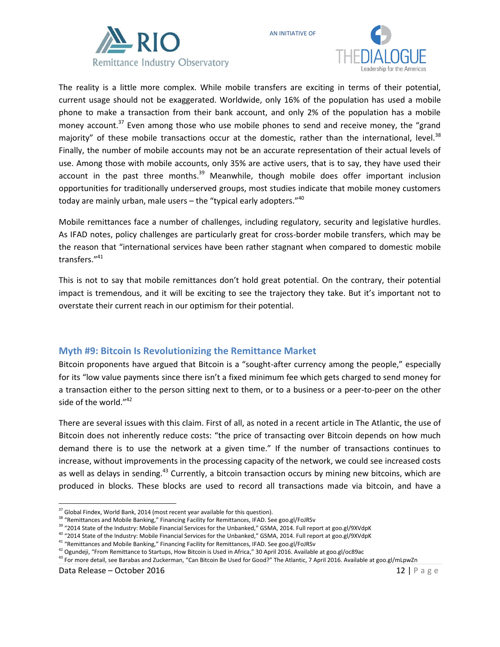



The reality is a little more complex. While mobile transfers are exciting in terms of their potential, current usage should not be exaggerated. Worldwide, only 16% of the population has used a mobile phone to make a transaction from their bank account, and only 2% of the population has a mobile money account.<sup>37</sup> Even among those who use mobile phones to send and receive money, the "grand majority" of these mobile transactions occur at the domestic, rather than the international, level. $^{38}$ Finally, the number of mobile accounts may not be an accurate representation of their actual levels of use. Among those with mobile accounts, only 35% are active users, that is to say, they have used their account in the past three months.<sup>39</sup> Meanwhile, though mobile does offer important inclusion opportunities for traditionally underserved groups, most studies indicate that mobile money customers today are mainly urban, male users  $-$  the "typical early adopters." $40$ 

AN INITIATIVE OF

Mobile remittances face a number of challenges, including regulatory, security and legislative hurdles. As IFAD notes, policy challenges are particularly great for cross-border mobile transfers, which may be the reason that "international services have been rather stagnant when compared to domestic mobile transfers."<sup>41</sup>

This is not to say that mobile remittances don't hold great potential. On the contrary, their potential impact is tremendous, and it will be exciting to see the trajectory they take. But it's important not to overstate their current reach in our optimism for their potential.

#### **Myth #9: Bitcoin Is Revolutionizing the Remittance Market**

Bitcoin proponents have argued that Bitcoin is a "sought-after currency among the people," especially for its "low value payments since there isn't a fixed minimum fee which gets charged to send money for a transaction either to the person sitting next to them, or to a business or a peer-to-peer on the other side of the world."<sup>42</sup>

There are several issues with this claim. First of all, as noted in a recent article in The Atlantic, the use of Bitcoin does not inherently reduce costs: "the price of transacting over Bitcoin depends on how much demand there is to use the network at a given time." If the number of transactions continues to increase, without improvements in the processing capacity of the network, we could see increased costs as well as delays in sending.<sup>43</sup> Currently, a bitcoin transaction occurs by mining new bitcoins, which are produced in blocks. These blocks are used to record all transactions made via bitcoin, and have a

<sup>41</sup> "Remittances and Mobile Banking," Financing Facility for Remittances, IFAD. See goo.gl/FoJRSv

 $\overline{\phantom{a}}$  $37$  Global Findex, World Bank, 2014 (most recent year available for this question).

<sup>&</sup>lt;sup>38</sup> "Remittances and Mobile Banking," Financing Facility for Remittances, IFAD. See goo.gl/FoJRSv

<sup>&</sup>lt;sup>39</sup> "2014 State of the Industry: Mobile Financial Services for the Unbanked," GSMA, 2014. Full report at goo.gl/9XVdpK

<sup>&</sup>lt;sup>40</sup> "2014 State of the Industry: Mobile Financial Services for the Unbanked," GSMA, 2014. Full report at goo.gl/9XVdpK

<sup>&</sup>lt;sup>42</sup> Ogundeji, "From Remittance to Startups, How Bitcoin is Used in Africa," 30 April 2016. Available at goo.gl/oc89ac

<sup>&</sup>lt;sup>43</sup> For more detail, see Barabas and Zuckerman, "Can Bitcoin Be Used for Good?" The Atlantic, 7 April 2016. Available at goo.gl/mLpwZn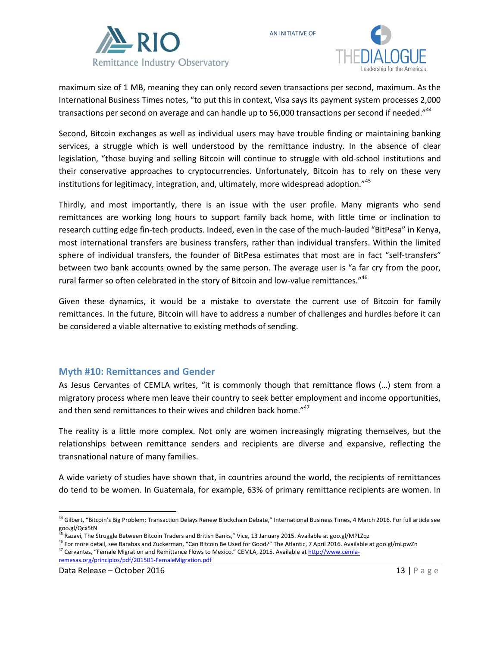



maximum size of 1 MB, meaning they can only record seven transactions per second, maximum. As the International Business Times notes, "to put this in context, Visa says its payment system processes 2,000 transactions per second on average and can handle up to 56,000 transactions per second if needed."<sup>44</sup>

AN INITIATIVE OF

Second, Bitcoin exchanges as well as individual users may have trouble finding or maintaining banking services, a struggle which is well understood by the remittance industry. In the absence of clear legislation, "those buying and selling Bitcoin will continue to struggle with old-school institutions and their conservative approaches to cryptocurrencies. Unfortunately, Bitcoin has to rely on these very institutions for legitimacy, integration, and, ultimately, more widespread adoption."<sup>45</sup>

Thirdly, and most importantly, there is an issue with the user profile. Many migrants who send remittances are working long hours to support family back home, with little time or inclination to research cutting edge fin-tech products. Indeed, even in the case of the much-lauded "BitPesa" in Kenya, most international transfers are business transfers, rather than individual transfers. Within the limited sphere of individual transfers, the founder of BitPesa estimates that most are in fact "self-transfers" between two bank accounts owned by the same person. The average user is "a far cry from the poor, rural farmer so often celebrated in the story of Bitcoin and low-value remittances."<sup>46</sup>

Given these dynamics, it would be a mistake to overstate the current use of Bitcoin for family remittances. In the future, Bitcoin will have to address a number of challenges and hurdles before it can be considered a viable alternative to existing methods of sending.

#### **Myth #10: Remittances and Gender**

As Jesus Cervantes of CEMLA writes, "it is commonly though that remittance flows (…) stem from a migratory process where men leave their country to seek better employment and income opportunities, and then send remittances to their wives and children back home."<sup>47</sup>

The reality is a little more complex. Not only are women increasingly migrating themselves, but the relationships between remittance senders and recipients are diverse and expansive, reflecting the transnational nature of many families.

A wide variety of studies have shown that, in countries around the world, the recipients of remittances do tend to be women. In Guatemala, for example, 63% of primary remittance recipients are women. In

 $\overline{\phantom{a}}$ 

<sup>&</sup>lt;sup>44</sup> Gilbert, "Bitcoin's Big Problem: Transaction Delays Renew Blockchain Debate," International Business Times, 4 March 2016. For full article see goo.gl/Qcx5tN

<sup>45</sup> Razavi, The Struggle Between Bitcoin Traders and British Banks," Vice, 13 January 2015. Available at goo.gl/MPLZqz

<sup>46</sup> For more detail, see Barabas and Zuckerman, "Can Bitcoin Be Used for Good?" The Atlantic, 7 April 2016. Available at goo.gl/mLpwZn <sup>47</sup> Cervantes, "Female Migration and Remittance Flows to Mexico," CEMLA, 2015. Available at [http://www.cemla](http://www.cemla-remesas.org/principios/pdf/201501-FemaleMigration.pdf)[remesas.org/principios/pdf/201501-FemaleMigration.pdf](http://www.cemla-remesas.org/principios/pdf/201501-FemaleMigration.pdf)